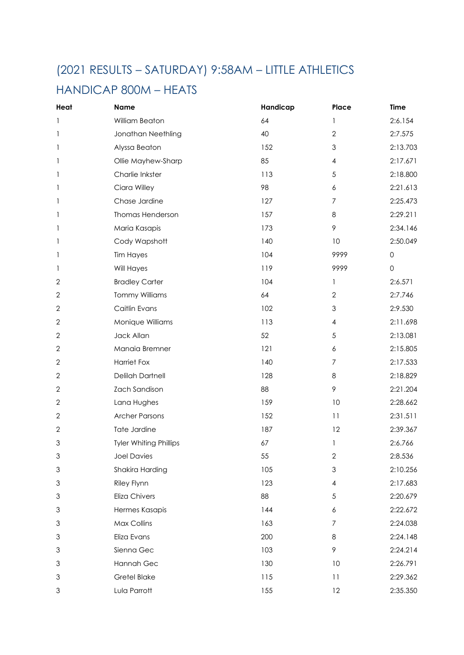#### (2021 RESULTS – SATURDAY) 9:58AM – LITTLE ATHLETICS

#### HANDICAP 800M – HEATS

| Heat                      | <b>Name</b>                   | Handicap | Place            | Time                |
|---------------------------|-------------------------------|----------|------------------|---------------------|
| 1                         | William Beaton                | 64       | 1                | 2:6.154             |
| 1                         | Jonathan Neethling            | 40       | $\overline{2}$   | 2:7.575             |
| 1                         | Alyssa Beaton                 | 152      | $\mathfrak 3$    | 2:13.703            |
| 1                         | Ollie Mayhew-Sharp            | 85       | 4                | 2:17.671            |
| 1                         | Charlie Inkster               | 113      | $\sqrt{5}$       | 2:18.800            |
| 1                         | Ciara Willey                  | 98       | $\boldsymbol{6}$ | 2:21.613            |
| 1                         | Chase Jardine                 | 127      | $\overline{7}$   | 2:25.473            |
| 1                         | Thomas Henderson              | 157      | 8                | 2:29.211            |
| 1                         | Maria Kasapis                 | 173      | 9                | 2:34.146            |
| 1                         | Cody Wapshott                 | 140      | 10               | 2:50.049            |
| 1                         | <b>Tim Hayes</b>              | 104      | 9999             | $\mathbf{0}$        |
| 1                         | Will Hayes                    | 119      | 9999             | $\mathsf{O}\xspace$ |
| $\mathbf{2}$              | <b>Bradley Carter</b>         | 104      | 1                | 2:6.571             |
| $\mathbf{2}$              | <b>Tommy Williams</b>         | 64       | $\overline{2}$   | 2:7.746             |
| $\mathbf{2}$              | Caitlin Evans                 | 102      | $\mathfrak 3$    | 2:9.530             |
| 2                         | Monique Williams              | 113      | $\overline{4}$   | 2:11.698            |
| $\mathbf{2}$              | Jack Allan                    | 52       | $\sqrt{5}$       | 2:13.081            |
| $\mathbf{2}$              | Manaia Bremner                | 121      | 6                | 2:15.805            |
| $\mathbf{2}$              | <b>Harriet Fox</b>            | 140      | 7                | 2:17.533            |
| $\mathbf{2}$              | <b>Delilah Dartnell</b>       | 128      | 8                | 2:18.829            |
| $\mathbf{2}$              | Zach Sandison                 | 88       | $\mathcal{P}$    | 2:21.204            |
| $\mathbf{2}$              | Lana Hughes                   | 159      | 10               | 2:28.662            |
| $\mathbf{2}$              | <b>Archer Parsons</b>         | 152      | 11               | 2:31.511            |
| $\mathbf{2}$              | Tate Jardine                  | 187      | 12               | 2:39.367            |
| $\ensuremath{\mathsf{3}}$ | <b>Tyler Whiting Phillips</b> | 67       | 1                | 2:6.766             |
| $\mathfrak 3$             | <b>Joel Davies</b>            | 55       | $\sqrt{2}$       | 2:8.536             |
| $\mathfrak 3$             | Shakira Harding               | 105      | $\mathfrak{Z}$   | 2:10.256            |
| $\ensuremath{\mathsf{3}}$ | Riley Flynn                   | 123      | $\overline{4}$   | 2:17.683            |
| $\ensuremath{\mathsf{3}}$ | Eliza Chivers                 | 88       | $\sqrt{5}$       | 2:20.679            |
| $\ensuremath{\mathsf{3}}$ | Hermes Kasapis                | 144      | $\epsilon$       | 2:22.672            |
| $\mathfrak 3$             | Max Collins                   | 163      | $\overline{7}$   | 2:24.038            |
| $\mathfrak 3$             | Eliza Evans                   | 200      | 8                | 2:24.148            |
| $\ensuremath{\mathsf{3}}$ | Sienna Gec                    | 103      | 9                | 2:24.214            |
| $\ensuremath{\mathsf{3}}$ | Hannah Gec                    | 130      | 10               | 2:26.791            |
| $\mathfrak 3$             | <b>Gretel Blake</b>           | 115      | 11               | 2:29.362            |
| 3                         | Lula Parrott                  | 155      | 12               | 2:35.350            |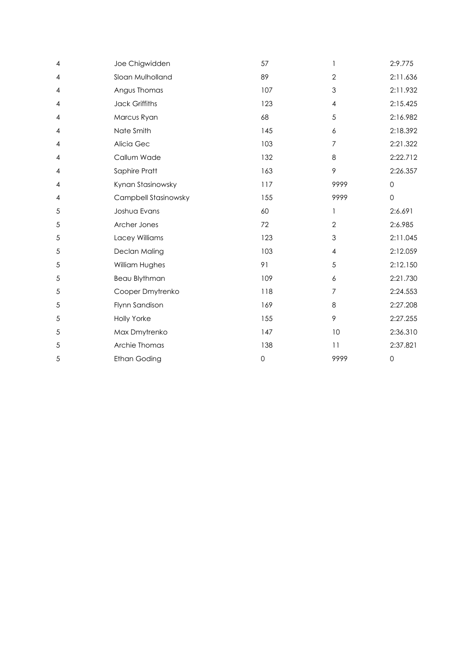| 4              | Joe Chigwidden       | 57                  | $\mathbf{1}$   | 2:9.775             |
|----------------|----------------------|---------------------|----------------|---------------------|
| $\overline{4}$ | Sloan Mulholland     | 89                  | $\overline{2}$ | 2:11.636            |
| $\overline{4}$ | Angus Thomas         | 107                 | 3              | 2:11.932            |
| 4              | Jack Griffiths       | 123                 | $\overline{4}$ | 2:15.425            |
| 4              | Marcus Ryan          | 68                  | 5              | 2:16.982            |
| 4              | Nate Smith           | 145                 | 6              | 2:18.392            |
| 4              | Alicia Gec           | 103                 | 7              | 2:21.322            |
| 4              | Callum Wade          | 132                 | 8              | 2:22.712            |
| 4              | Saphire Pratt        | 163                 | 9              | 2:26.357            |
| 4              | Kynan Stasinowsky    | 117                 | 9999           | $\mathbf 0$         |
| 4              | Campbell Stasinowsky | 155                 | 9999           | $\mathbf 0$         |
| 5              | Joshua Evans         | 60                  | 1              | 2:6.691             |
| 5              | Archer Jones         | 72                  | $\overline{2}$ | 2:6.985             |
| 5              | Lacey Williams       | 123                 | 3              | 2:11.045            |
| 5              | Declan Maling        | 103                 | $\overline{4}$ | 2:12.059            |
| 5              | William Hughes       | 91                  | 5              | 2:12.150            |
| 5              | Beau Blythman        | 109                 | 6              | 2:21.730            |
| 5              | Cooper Dmytrenko     | 118                 | 7              | 2:24.553            |
| 5              | Flynn Sandison       | 169                 | 8              | 2:27.208            |
| 5              | <b>Holly Yorke</b>   | 155                 | 9              | 2:27.255            |
| 5              | Max Dmytrenko        | 147                 | 10             | 2:36.310            |
| 5              | Archie Thomas        | 138                 | 11             | 2:37.821            |
| 5              | <b>Ethan Goding</b>  | $\mathsf{O}\xspace$ | 9999           | $\mathsf{O}\xspace$ |
|                |                      |                     |                |                     |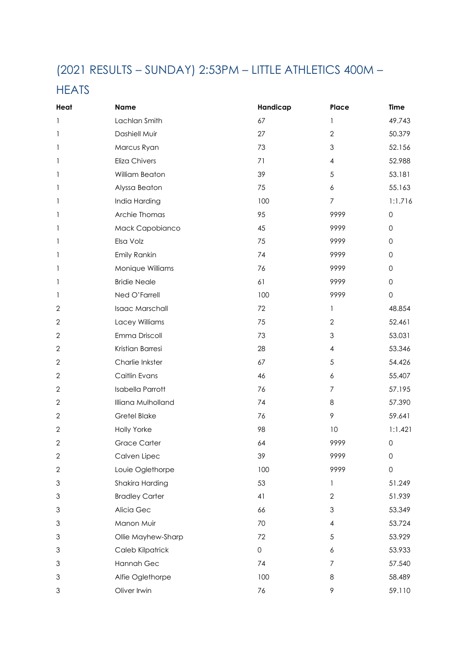## (2021 RESULTS – SUNDAY) 2:53PM – LITTLE ATHLETICS 400M –

#### **HEATS**

| Heat           | <b>Name</b>             | Handicap            | Place                     | <b>Time</b>         |
|----------------|-------------------------|---------------------|---------------------------|---------------------|
| 1              | Lachlan Smith           | 67                  | $\mathbf{1}$              | 49.743              |
| 1              | Dashiell Muir           | 27                  | $\overline{2}$            | 50.379              |
| 1              | Marcus Ryan             | 73                  | 3                         | 52.156              |
| 1              | <b>Eliza Chivers</b>    | 71                  | 4                         | 52.988              |
| 1              | William Beaton          | 39                  | 5                         | 53.181              |
| 1              | Alyssa Beaton           | 75                  | 6                         | 55.163              |
| 1              | India Harding           | 100                 | $\overline{7}$            | 1:1.716             |
| 1              | Archie Thomas           | 95                  | 9999                      | $\mathsf{O}\xspace$ |
| 1              | Mack Capobianco         | 45                  | 9999                      | $\mathbf{0}$        |
| 1              | Elsa Volz               | 75                  | 9999                      | $\mathsf{O}\xspace$ |
| 1              | Emily Rankin            | 74                  | 9999                      | $\mathsf{O}\xspace$ |
| 1              | Monique Williams        | 76                  | 9999                      | $\mathsf{O}\xspace$ |
| 1              | <b>Bridie Neale</b>     | 61                  | 9999                      | $\mathsf{O}\xspace$ |
| 1              | Ned O'Farrell           | 100                 | 9999                      | $\mathsf{O}\xspace$ |
| $\mathbf{2}$   | Isaac Marschall         | 72                  | $\mathbf{1}$              | 48.854              |
| 2              | Lacey Williams          | 75                  | $\overline{2}$            | 52.461              |
| $\sqrt{2}$     | Emma Driscoll           | 73                  | $\mathfrak{S}$            | 53.031              |
| $\mathbf 2$    | Kristian Barresi        | 28                  | $\overline{4}$            | 53.346              |
| $\overline{2}$ | Charlie Inkster         | 67                  | 5                         | 54.426              |
| $\mathbf 2$    | Caitlin Evans           | 46                  | $\boldsymbol{6}$          | 55.407              |
| $\mathbf 2$    | <b>Isabella Parrott</b> | 76                  | $\overline{7}$            | 57.195              |
| $\mathbf 2$    | Illiana Mulholland      | 74                  | 8                         | 57.390              |
| 2              | <b>Gretel Blake</b>     | 76                  | 9                         | 59.641              |
| 2              | Holly Yorke             | 98                  | 10                        | 1:1.421             |
| $\sqrt{2}$     | <b>Grace Carter</b>     | 64                  | 9999                      | $\mathsf{O}\xspace$ |
| $\mathbf{2}$   | Calven Lipec            | 39                  | 9999                      | 0                   |
| $\mathbf{2}$   | Louie Oglethorpe        | 100                 | 9999                      | $\mathsf{O}\xspace$ |
| 3              | Shakira Harding         | 53                  | 1                         | 51.249              |
| 3              | <b>Bradley Carter</b>   | 41                  | $\mathbf{2}$              | 51.939              |
| 3              | Alicia Gec              | 66                  | $\ensuremath{\mathsf{3}}$ | 53.349              |
| 3              | Manon Muir              | 70                  | $\overline{4}$            | 53.724              |
| 3              | Ollie Mayhew-Sharp      | 72                  | $\sqrt{5}$                | 53.929              |
| 3              | Caleb Kilpatrick        | $\mathsf{O}\xspace$ | 6                         | 53.933              |
| 3              | Hannah Gec              | 74                  | $\overline{7}$            | 57.540              |
| 3              | Alfie Oglethorpe        | 100                 | 8                         | 58.489              |
| 3              | Oliver Irwin            | 76                  | 9                         | 59.110              |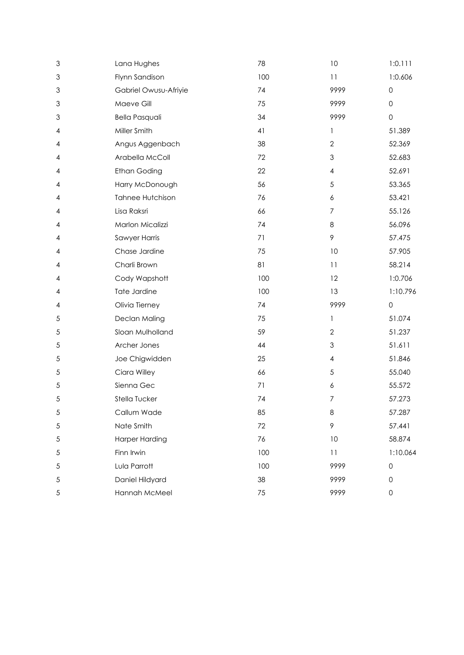| $\mathfrak 3$ | Lana Hughes             | 78  | 10                        | 1:0.111             |
|---------------|-------------------------|-----|---------------------------|---------------------|
| 3             | Flynn Sandison          | 100 | 11                        | 1:0.606             |
| 3             | Gabriel Owusu-Afriyie   | 74  | 9999                      | 0                   |
| 3             | Maeve Gill              | 75  | 9999                      | $\mathsf{O}\xspace$ |
| 3             | <b>Bella Pasquali</b>   | 34  | 9999                      | $\mathsf{O}$        |
| 4             | Miller Smith            | 41  | 1                         | 51.389              |
| 4             | Angus Aggenbach         | 38  | $\overline{2}$            | 52.369              |
| 4             | Arabella McColl         | 72  | $\ensuremath{\mathsf{3}}$ | 52.683              |
| 4             | <b>Ethan Goding</b>     | 22  | $\overline{4}$            | 52.691              |
| 4             | Harry McDonough         | 56  | $\sqrt{5}$                | 53.365              |
| 4             | <b>Tahnee Hutchison</b> | 76  | 6                         | 53.421              |
| 4             | Lisa Raksri             | 66  | $\overline{7}$            | 55.126              |
| 4             | Marlon Micalizzi        | 74  | $\,8\,$                   | 56.096              |
| 4             | Sawyer Harris           | 71  | $\,9$                     | 57.475              |
| 4             | Chase Jardine           | 75  | 10                        | 57.905              |
| 4             | Charli Brown            | 81  | 11                        | 58.214              |
| 4             | Cody Wapshott           | 100 | 12                        | 1:0.706             |
| 4             | Tate Jardine            | 100 | 13                        | 1:10.796            |
| 4             | Olivia Tierney          | 74  | 9999                      | $\mathbf 0$         |
| 5             | Declan Maling           | 75  | 1                         | 51.074              |
| 5             | Sloan Mulholland        | 59  | $\overline{2}$            | 51.237              |
| $\sqrt{5}$    | Archer Jones            | 44  | $\ensuremath{\mathsf{3}}$ | 51.611              |
| 5             | Joe Chigwidden          | 25  | 4                         | 51.846              |
| 5             | Ciara Willey            | 66  | $\sqrt{5}$                | 55.040              |
| 5             | Sienna Gec              | 71  | $\boldsymbol{6}$          | 55.572              |
| $\sqrt{5}$    | Stella Tucker           | 74  | $\boldsymbol{7}$          | 57.273              |
| 5             | Callum Wade             | 85  | 8                         | 57.287              |
| $\sqrt{5}$    | Nate Smith              | 72  | 9                         | 57.441              |
| $\sqrt{5}$    | <b>Harper Harding</b>   | 76  | 10                        | 58.874              |
| $\sqrt{5}$    | Finn Irwin              | 100 | 11                        | 1:10.064            |
| $\sqrt{5}$    | Lula Parrott            | 100 | 9999                      | $\mathsf{O}$        |
| $\sqrt{5}$    | Daniel Hildyard         | 38  | 9999                      | $\mathsf{O}\xspace$ |
| $\sqrt{5}$    | Hannah McMeel           | 75  | 9999                      | $\mathsf{O}\xspace$ |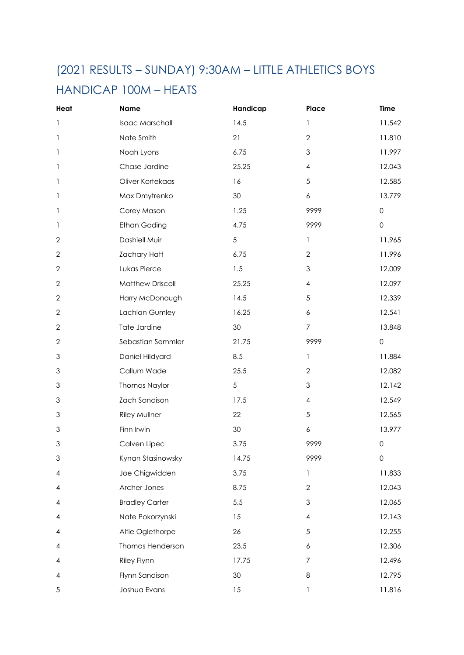## (2021 RESULTS – SUNDAY) 9:30AM – LITTLE ATHLETICS BOYS HANDICAP 100M – HEATS

| Heat           | <b>Name</b>             | Handicap        | Place                                 | <b>Time</b>         |
|----------------|-------------------------|-----------------|---------------------------------------|---------------------|
| 1              | Isaac Marschall         | 14.5            | 1                                     | 11.542              |
| 1              | Nate Smith              | 21              | $\overline{2}$                        | 11.810              |
| 1              | Noah Lyons              | 6.75            | $\mathfrak 3$                         | 11.997              |
| 1              | Chase Jardine           | 25.25           | $\overline{\mathbf{4}}$               | 12.043              |
| 1              | Oliver Kortekaas        | 16              | 5                                     | 12.585              |
| 1              | Max Dmytrenko           | 30              | 6                                     | 13.779              |
| 1              | Corey Mason             | 1.25            | 9999                                  | $\mathsf{O}\xspace$ |
| 1              | <b>Ethan Goding</b>     | 4.75            | 9999                                  | $\mathsf{O}\xspace$ |
| 2              | Dashiell Muir           | 5               | 1                                     | 11.965              |
| $\overline{2}$ | <b>Zachary Hatt</b>     | 6.75            | $\overline{2}$                        | 11.996              |
| $\overline{2}$ | Lukas Pierce            | 1.5             | $\mathfrak{S}$                        | 12.009              |
| 2              | <b>Matthew Driscoll</b> | 25.25           | $\overline{4}$                        | 12.097              |
| $\overline{2}$ | Harry McDonough         | 14.5            | 5                                     | 12.339              |
| $\mathbf 2$    | Lachlan Gumley          | 16.25           | 6                                     | 12.541              |
| $\mathbf 2$    | Tate Jardine            | 30              | $\overline{7}$                        | 13.848              |
| 2              | Sebastian Semmler       | 21.75           | 9999                                  | $\mathsf{O}\xspace$ |
| 3              | Daniel Hildyard         | 8.5             | $\mathbf{1}$                          | 11.884              |
| 3              | Callum Wade             | 25.5            | $\sqrt{2}$                            | 12.082              |
| 3              | Thomas Naylor           | 5               | $\ensuremath{\mathsf{3}}$             | 12.142              |
| 3              | Zach Sandison           | 17.5            | $\overline{\mathcal{A}}$              | 12.549              |
| 3              | Riley Mullner           | 22              | 5                                     | 12.565              |
| 3              | Finn Irwin              | 30              | $\boldsymbol{6}$                      | 13.977              |
| 3              | Calven Lipec            | 3.75            | 9999                                  | $\mathsf{O}$        |
| 3              | Kynan Stasinowsky       | 14.75           | 9999                                  | $\mathsf{O}\xspace$ |
| 4              | Joe Chigwidden          | 3.75            | $\mathbf{1}$                          | 11.833              |
| 4              | Archer Jones            | 8.75            | $\mathbf{2}$                          | 12.043              |
| 4              | <b>Bradley Carter</b>   | 5.5             | $\mathfrak{Z}$                        | 12.065              |
| 4              | Nate Pokorzynski        | 15              | $\overline{\mathbf{4}}$               | 12.143              |
| 4              | Alfie Oglethorpe        | 26              | $\sqrt{5}$                            | 12.255              |
| 4              | Thomas Henderson        | 23.5            | 6                                     | 12.306              |
| 4              | Riley Flynn             | 17.75           | $\boldsymbol{7}$                      | 12.496              |
| 4              | Flynn Sandison          | 30 <sup>°</sup> | $\,8\,$                               | 12.795              |
| 5              | Joshua Evans            | 15              | $\begin{array}{c} \hline \end{array}$ | 11.816              |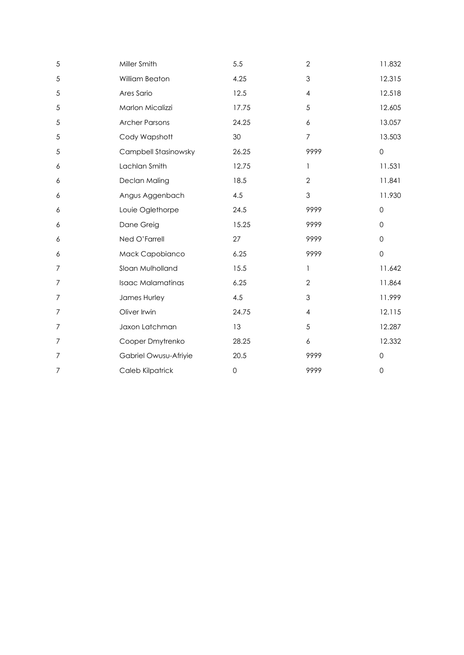| 5                | Miller Smith             | 5.5                 | $\overline{2}$   | 11.832              |
|------------------|--------------------------|---------------------|------------------|---------------------|
| 5                | William Beaton           | 4.25                | $\mathfrak{Z}$   | 12.315              |
| 5                | Ares Sario               | 12.5                | $\overline{4}$   | 12.518              |
| 5                | Marlon Micalizzi         | 17.75               | 5                | 12.605              |
| $\sqrt{5}$       | <b>Archer Parsons</b>    | 24.25               | 6                | 13.057              |
| 5                | Cody Wapshott            | 30                  | $\overline{7}$   | 13.503              |
| 5                | Campbell Stasinowsky     | 26.25               | 9999             | $\mathsf{O}\xspace$ |
| 6                | Lachlan Smith            | 12.75               | $\mathbf{1}$     | 11.531              |
| 6                | Declan Maling            | 18.5                | $\overline{2}$   | 11.841              |
| 6                | Angus Aggenbach          | 4.5                 | $\mathfrak{Z}$   | 11.930              |
| 6                | Louie Oglethorpe         | 24.5                | 9999             | $\mathbf 0$         |
| 6                | Dane Greig               | 15.25               | 9999             | $\mathbf 0$         |
| 6                | Ned O'Farrell            | 27                  | 9999             | $\mathbf 0$         |
| 6                | Mack Capobianco          | 6.25                | 9999             | $\mathsf{O}$        |
| $\overline{7}$   | Sloan Mulholland         | 15.5                | $\mathbf{1}$     | 11.642              |
| $\overline{7}$   | <b>Isaac Malamatinas</b> | 6.25                | $\overline{2}$   | 11.864              |
| 7                | James Hurley             | 4.5                 | $\mathfrak{Z}$   | 11.999              |
| $\overline{7}$   | Oliver Irwin             | 24.75               | $\sqrt{4}$       | 12.115              |
| $\overline{7}$   | Jaxon Latchman           | 13                  | 5                | 12.287              |
| $\overline{7}$   | Cooper Dmytrenko         | 28.25               | $\boldsymbol{6}$ | 12.332              |
| $\boldsymbol{7}$ | Gabriel Owusu-Afriyie    | 20.5                | 9999             | $\mathbf 0$         |
| $\overline{7}$   | Caleb Kilpatrick         | $\mathsf{O}\xspace$ | 9999             | $\mathsf{O}\xspace$ |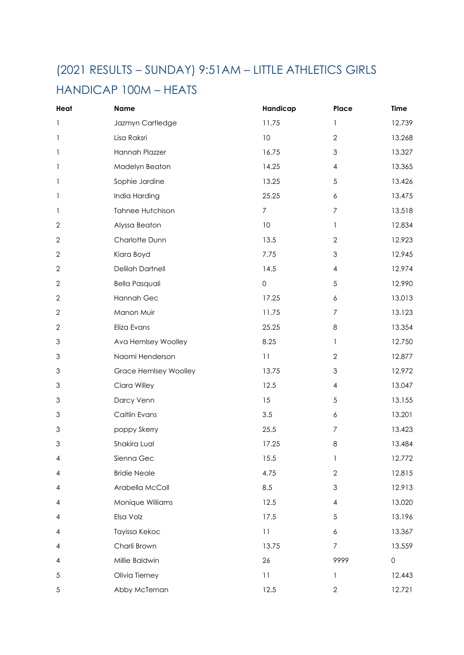## (2021 RESULTS – SUNDAY) 9:51AM – LITTLE ATHLETICS GIRLS

#### HANDICAP 100M – HEATS

| Heat         | Name                    | Handicap            | Place                   | <b>Time</b>         |
|--------------|-------------------------|---------------------|-------------------------|---------------------|
| 1            | Jazmyn Cartledge        | 11.75               | 1                       | 12.739              |
| 1            | Lisa Raksri             | 10                  | $\overline{2}$          | 13.268              |
| 1            | Hannah Plazzer          | 16.75               | $\mathfrak 3$           | 13.327              |
| 1            | Madelyn Beaton          | 14.25               | $\overline{\mathbf{4}}$ | 13.365              |
| 1            | Sophie Jardine          | 13.25               | 5                       | 13.426              |
| 1            | India Harding           | 25.25               | $\boldsymbol{6}$        | 13.475              |
| 1            | <b>Tahnee Hutchison</b> | $\overline{7}$      | $\boldsymbol{7}$        | 13.518              |
| $\sqrt{2}$   | Alyssa Beaton           | 10                  | $\mathbf{1}$            | 12.834              |
| $\mathbf 2$  | Charlotte Dunn          | 13.5                | $\mathbf{2}$            | 12.923              |
| $\mathbf{2}$ | Kiara Boyd              | 7.75                | $\mathfrak{Z}$          | 12.945              |
| $\mathbf 2$  | <b>Delilah Dartnell</b> | 14.5                | $\overline{\mathbf{4}}$ | 12.974              |
| $\sqrt{2}$   | <b>Bella Pasquali</b>   | $\mathsf{O}\xspace$ | 5                       | 12.990              |
| $\mathbf 2$  | Hannah Gec              | 17.25               | $\boldsymbol{6}$        | 13.013              |
| $\mathbf{2}$ | Manon Muir              | 11.75               | $\overline{7}$          | 13.123              |
| $\mathbf{2}$ | Eliza Evans             | 25.25               | 8                       | 13.354              |
| 3            | Ava Hemlsey Woolley     | 8.25                | 1                       | 12.750              |
| 3            | Naomi Henderson         | 11                  | $\overline{2}$          | 12.877              |
| 3            | Grace Hemlsey Woolley   | 13.75               | $\mathfrak{S}$          | 12.972              |
| 3            | Ciara Willey            | 12.5                | 4                       | 13.047              |
| 3            | Darcy Venn              | 15                  | 5                       | 13.155              |
| 3            | Caitlin Evans           | 3.5                 | 6                       | 13.201              |
| 3            | poppy Skerry            | 25.5                | $\boldsymbol{7}$        | 13.423              |
| 3            | Shakira Lual            | 17.25               | $\,8\,$                 | 13.484              |
| 4            | Sienna Gec              | 15.5                |                         | 12.772              |
| 4            | <b>Bridie Neale</b>     | 4.75                | $\overline{2}$          | 12.815              |
| 4            | Arabella McColl         | 8.5                 | $\mathfrak{Z}$          | 12.913              |
| 4            | Monique Williams        | 12.5                | $\overline{\mathbf{4}}$ | 13.020              |
| 4            | Elsa Volz               | 17.5                | 5                       | 13.196              |
| 4            | Tayissa Kekoc           | 11                  | $\boldsymbol{6}$        | 13.367              |
| 4            | Charli Brown            | 13.75               | $\boldsymbol{7}$        | 13.559              |
| 4            | Millie Baldwin          | 26                  | 9999                    | $\mathsf{O}\xspace$ |
| $\sqrt{5}$   | Olivia Tierney          | 11                  | 1                       | 12.443              |
| 5            | Abby McTernan           | 12.5                | $\mathbf{2}$            | 12.721              |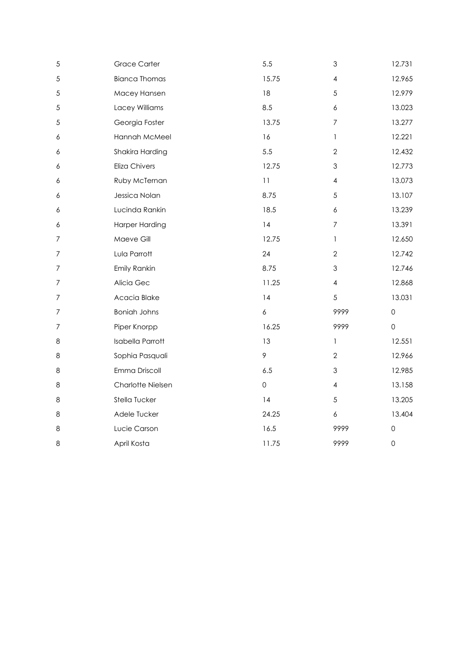| 5                | <b>Grace Carter</b>     | 5.5                 | 3                | 12.731              |
|------------------|-------------------------|---------------------|------------------|---------------------|
| 5                | <b>Bianca Thomas</b>    | 15.75               | $\pmb{4}$        | 12.965              |
| 5                | Macey Hansen            | 18                  | $\sqrt{5}$       | 12.979              |
| 5                | Lacey Williams          | 8.5                 | $\boldsymbol{6}$ | 13.023              |
| 5                | Georgia Foster          | 13.75               | $\overline{7}$   | 13.277              |
| 6                | Hannah McMeel           | 16                  | 1                | 12.221              |
| 6                | Shakira Harding         | 5.5                 | $\overline{2}$   | 12.432              |
| 6                | <b>Eliza Chivers</b>    | 12.75               | $\mathfrak{S}$   | 12.773              |
| 6                | Ruby McTernan           | 11                  | 4                | 13.073              |
| $\boldsymbol{6}$ | Jessica Nolan           | 8.75                | 5                | 13.107              |
| $\boldsymbol{6}$ | Lucinda Rankin          | 18.5                | $\boldsymbol{6}$ | 13.239              |
| $\boldsymbol{6}$ | <b>Harper Harding</b>   | 4                   | $\boldsymbol{7}$ | 13.391              |
| $\overline{7}$   | Maeve Gill              | 12.75               | $\mathbf{1}$     | 12.650              |
| $\overline{7}$   | Lula Parrott            | 24                  | $\overline{2}$   | 12.742              |
| $\overline{7}$   | Emily Rankin            | 8.75                | $\mathfrak{S}$   | 12.746              |
| $\boldsymbol{7}$ | Alicia Gec              | 11.25               | $\pmb{4}$        | 12.868              |
| $\boldsymbol{7}$ | Acacia Blake            | 4                   | 5                | 13.031              |
| $\overline{7}$   | <b>Boniah Johns</b>     | $\boldsymbol{6}$    | 9999             | $\mathsf{O}\xspace$ |
| $\overline{7}$   | Piper Knorpp            | 16.25               | 9999             | $\mathsf{O}\xspace$ |
| 8                | <b>Isabella Parrott</b> | 13                  | $\mathbf{1}$     | 12.551              |
| 8                | Sophia Pasquali         | $\mathcal{P}$       | $\overline{2}$   | 12.966              |
| 8                | Emma Driscoll           | 6.5                 | $\mathfrak{S}$   | 12.985              |
| 8                | Charlotte Nielsen       | $\mathsf{O}\xspace$ | 4                | 13.158              |
| 8                | Stella Tucker           | 4                   | $\sqrt{5}$       | 13.205              |
| 8                | Adele Tucker            | 24.25               | $\boldsymbol{6}$ | 13.404              |
| 8                | Lucie Carson            | 16.5                | 9999             | $\mathsf{O}\xspace$ |
| 8                | April Kosta             | 11.75               | 9999             | $\mathsf{O}$        |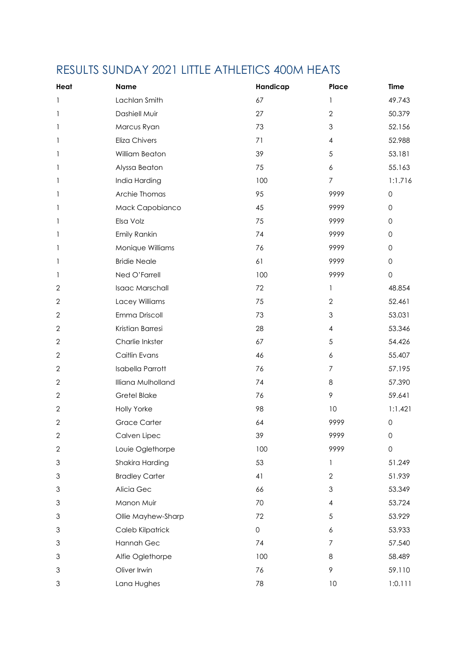## RESULTS SUNDAY 2021 LITTLE ATHLETICS 400M HEATS

| Heat                      | <b>Name</b>             | Handicap     | Place            | Time                |
|---------------------------|-------------------------|--------------|------------------|---------------------|
|                           | Lachlan Smith           | 67           | $\mathbf{1}$     | 49.743              |
|                           | Dashiell Muir           | 27           | $\overline{2}$   | 50.379              |
| 1                         | Marcus Ryan             | 73           | $\mathfrak{S}$   | 52.156              |
| 1                         | Eliza Chivers           | 71           | $\overline{4}$   | 52.988              |
| 1                         | William Beaton          | 39           | 5                | 53.181              |
| 1                         | Alyssa Beaton           | 75           | $\boldsymbol{6}$ | 55.163              |
|                           | India Harding           | 100          | $\overline{7}$   | 1:1.716             |
| 1                         | Archie Thomas           | 95           | 9999             | $\mathsf{O}\xspace$ |
|                           | Mack Capobianco         | 45           | 9999             | $\mathsf{O}\xspace$ |
| 1                         | Elsa Volz               | 75           | 9999             | $\mathsf{O}\xspace$ |
| 1                         | Emily Rankin            | 74           | 9999             | $\mathsf{O}\xspace$ |
| 1                         | Monique Williams        | 76           | 9999             | $\mathsf{O}\xspace$ |
|                           | <b>Bridie Neale</b>     | 61           | 9999             | $\mathsf{O}\xspace$ |
| 1                         | Ned O'Farrell           | 100          | 9999             | $\mathsf{O}\xspace$ |
| $\overline{2}$            | Isaac Marschall         | 72           | $\mathbf{1}$     | 48.854              |
| $\sqrt{2}$                | Lacey Williams          | 75           | $\overline{2}$   | 52.461              |
| $\mathbf{2}$              | Emma Driscoll           | 73           | $\mathfrak{S}$   | 53.031              |
| $\mathbf{2}$              | Kristian Barresi        | 28           | $\overline{4}$   | 53.346              |
| $\mathbf{2}$              | Charlie Inkster         | 67           | 5                | 54.426              |
| $\mathbf{2}$              | Caitlin Evans           | 46           | 6                | 55.407              |
| $\mathbf{2}$              | <b>Isabella Parrott</b> | 76           | $\overline{7}$   | 57.195              |
| $\mathbf{2}$              | Illiana Mulholland      | 74           | 8                | 57.390              |
| $\mathbf{2}$              | <b>Gretel Blake</b>     | 76           | 9                | 59.641              |
| $\mathbf{2}$              | <b>Holly Yorke</b>      | 98           | 10               | 1:1.421             |
| $\mathbf{2}$              | <b>Grace Carter</b>     | 64           | 9999             | $\mathsf{O}$        |
| $\mathbf{2}$              | Calven Lipec            | 39           | 9999             | $\mathsf{O}\xspace$ |
| $\sqrt{2}$                | Louie Oglethorpe        | 100          | 9999             | $\mathsf{O}$        |
| $\ensuremath{\mathsf{3}}$ | Shakira Harding         | 53           | 1                | 51.249              |
| $\ensuremath{\mathsf{3}}$ | <b>Bradley Carter</b>   | 41           | $\overline{2}$   | 51.939              |
| $\mathfrak 3$             | Alicia Gec              | 66           | $\mathfrak{S}$   | 53.349              |
| 3                         | Manon Muir              | 70           | $\overline{4}$   | 53.724              |
| $\ensuremath{\mathsf{3}}$ | Ollie Mayhew-Sharp      | 72           | $\sqrt{5}$       | 53.929              |
| $\ensuremath{\mathsf{3}}$ | Caleb Kilpatrick        | $\mathsf{O}$ | $\boldsymbol{6}$ | 53.933              |
| $\ensuremath{\mathsf{3}}$ | Hannah Gec              | 74           | $\overline{7}$   | 57.540              |
| $\ensuremath{\mathsf{3}}$ | Alfie Oglethorpe        | 100          | $\,8\,$          | 58.489              |
| $\ensuremath{\mathsf{3}}$ | Oliver Irwin            | 76           | 9                | 59.110              |
| $\mathfrak 3$             | Lana Hughes             | 78           | 10               | 1:0.111             |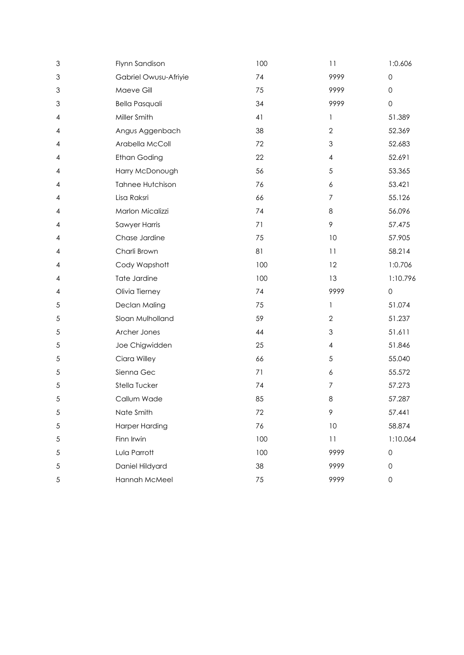| 3             | Flynn Sandison        | 100    | 11                      | 1:0.606             |
|---------------|-----------------------|--------|-------------------------|---------------------|
| $\mathfrak 3$ | Gabriel Owusu-Afriyie | 74     | 9999                    | $\mathsf{O}\xspace$ |
| 3             | Maeve Gill            | 75     | 9999                    | 0                   |
| $\mathfrak 3$ | <b>Bella Pasquali</b> | 34     | 9999                    | $\mathsf{O}\xspace$ |
| 4             | Miller Smith          | 41     | 1                       | 51.389              |
| 4             | Angus Aggenbach       | 38     | $\overline{2}$          | 52.369              |
| 4             | Arabella McColl       | $72\,$ | 3                       | 52.683              |
| 4             | <b>Ethan Goding</b>   | 22     | $\overline{\mathbf{4}}$ | 52.691              |
| 4             | Harry McDonough       | 56     | 5                       | 53.365              |
| 4             | Tahnee Hutchison      | 76     | 6                       | 53.421              |
| 4             | Lisa Raksri           | 66     | $\overline{7}$          | 55.126              |
| 4             | Marlon Micalizzi      | 74     | 8                       | 56.096              |
| 4             | Sawyer Harris         | 71     | 9                       | 57.475              |
| 4             | Chase Jardine         | 75     | 10                      | 57.905              |
| 4             | Charli Brown          | 81     | 11                      | 58.214              |
| 4             | Cody Wapshott         | 100    | 12                      | 1:0.706             |
| 4             | Tate Jardine          | 100    | 13                      | 1:10.796            |
|               |                       |        |                         |                     |
| 4             | Olivia Tierney        | 74     | 9999                    | $\mathsf{O}\xspace$ |
| $\sqrt{5}$    | Declan Maling         | 75     | 1                       | 51.074              |
| 5             | Sloan Mulholland      | 59     | $\overline{2}$          | 51.237              |
| 5             | Archer Jones          | 44     | 3                       | 51.611              |
| $\sqrt{5}$    | Joe Chigwidden        | 25     | $\overline{\mathbf{4}}$ | 51.846              |
| $\sqrt{5}$    | Ciara Willey          | 66     | $\sqrt{5}$              | 55.040              |
| 5             | Sienna Gec            | 71     | 6                       | 55.572              |
| 5             | Stella Tucker         | 74     | $\overline{7}$          | 57.273              |
| $\sqrt{5}$    | Callum Wade           | 85     | 8                       | 57.287              |
| 5             | Nate Smith            | 72     | 9                       | 57.441              |
| $\sqrt{5}$    | <b>Harper Harding</b> | 76     | $10$                    | 58.874              |
| $\sqrt{5}$    | Finn Irwin            | 100    | 11                      | 1:10.064            |
| $\sqrt{5}$    | Lula Parrott          | 100    | 9999                    | $\mathsf{O}\xspace$ |
| $\sqrt{5}$    | Daniel Hildyard       | 38     | 9999                    | $\mathsf{O}\xspace$ |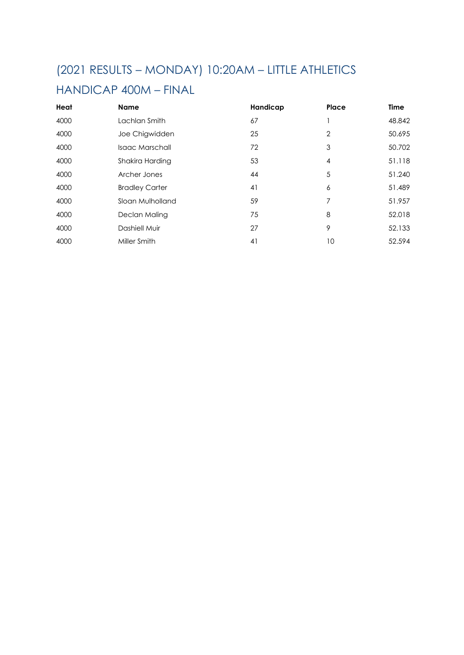### (2021 RESULTS – MONDAY) 10:20AM – LITTLE ATHLETICS

#### HANDICAP 400M – FINAL

| Heat | <b>Name</b>           | Handicap | Place | <b>Time</b> |
|------|-----------------------|----------|-------|-------------|
| 4000 | Lachlan Smith         | 67       |       | 48.842      |
| 4000 | Joe Chigwidden        | 25       | 2     | 50.695      |
| 4000 | Isaac Marschall       | 72       | 3     | 50.702      |
| 4000 | Shakira Harding       | 53       | 4     | 51.118      |
| 4000 | Archer Jones          | 44       | 5     | 51.240      |
| 4000 | <b>Bradley Carter</b> | 41       | 6     | 51.489      |
| 4000 | Sloan Mulholland      | 59       | 7     | 51.957      |
| 4000 | Declan Maling         | 75       | 8     | 52.018      |
| 4000 | Dashiell Muir         | 27       | 9     | 52.133      |
| 4000 | Miller Smith          | 41       | 10    | 52.594      |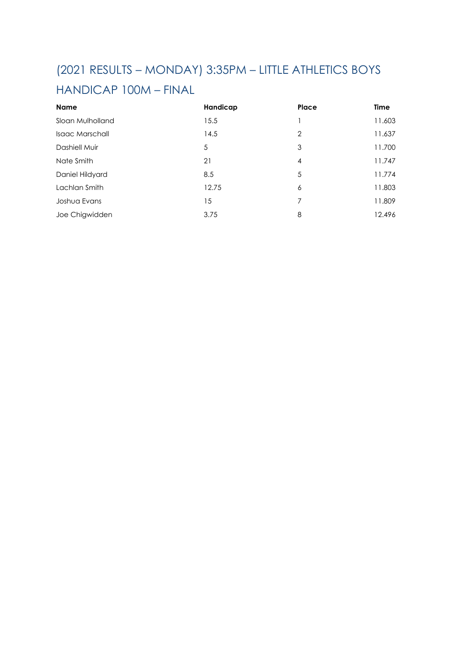# (2021 RESULTS – MONDAY) 3:35PM – LITTLE ATHLETICS BOYS

#### HANDICAP 100M – FINAL

| <b>Name</b>      | Handicap | Place | <b>Time</b> |
|------------------|----------|-------|-------------|
| Sloan Mulholland | 15.5     |       | 11.603      |
| Isaac Marschall  | 14.5     | ာ     | 11.637      |
| Dashiell Muir    | 5        | 3     | 11.700      |
| Nate Smith       | 21       | 4     | 11.747      |
| Daniel Hildyard  | 8.5      | 5     | 11.774      |
| Lachlan Smith    | 12.75    | Ô     | 11.803      |
| Joshua Evans     | 15       |       | 11.809      |
| Joe Chigwidden   | 3.75     | 8     | 12.496      |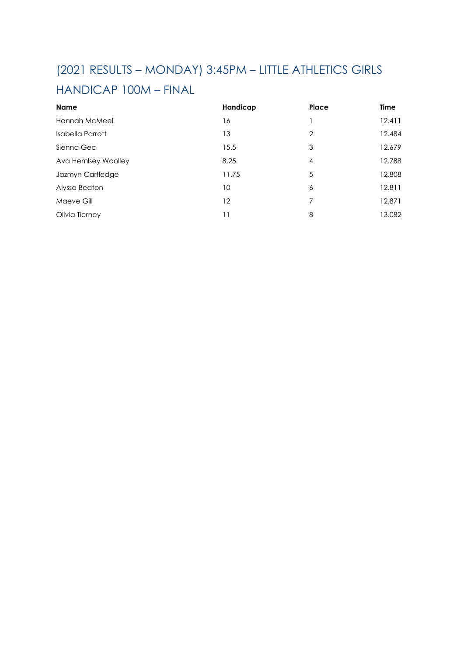## (2021 RESULTS – MONDAY) 3:45PM – LITTLE ATHLETICS GIRLS

#### HANDICAP 100M – FINAL

| <b>Name</b>         | Handicap | Place | <b>Time</b> |
|---------------------|----------|-------|-------------|
| Hannah McMeel       | 16       |       | 12.411      |
| Isabella Parrott    | 13       |       | 12.484      |
| Sienna Gec          | 15.5     | 3     | 12.679      |
| Ava Hemlsey Woolley | 8.25     |       | 12.788      |
| Jazmyn Cartledge    | 11.75    |       | 12.808      |
| Alyssa Beaton       | 10       | 6     | 12.811      |
| Maeve Gill          | 12       |       | 12.871      |
| Olivia Tierney      |          | 8     | 13.082      |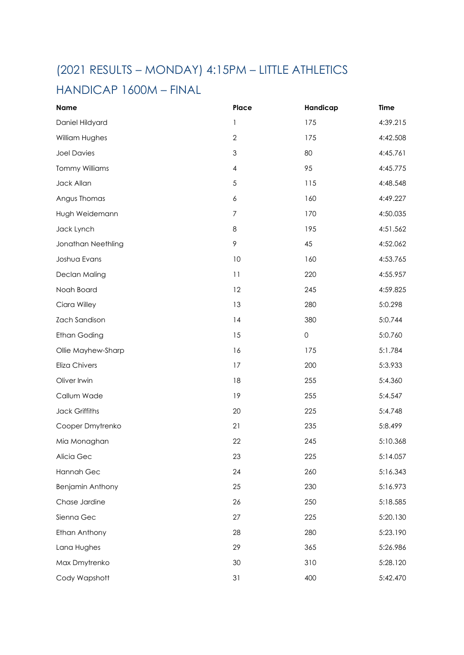## (2021 RESULTS – MONDAY) 4:15PM – LITTLE ATHLETICS

#### HANDICAP 1600M – FINAL

| <b>Name</b>           | Place                     | Handicap            | <b>Time</b> |
|-----------------------|---------------------------|---------------------|-------------|
| Daniel Hildyard       | 1                         | 175                 | 4:39.215    |
| William Hughes        | $\mathbf{2}$              | 175                 | 4:42.508    |
| <b>Joel Davies</b>    | $\ensuremath{\mathsf{3}}$ | 80                  | 4:45.761    |
| <b>Tommy Williams</b> | $\overline{\mathcal{A}}$  | 95                  | 4:45.775    |
| Jack Allan            | $\sqrt{5}$                | 115                 | 4:48.548    |
| Angus Thomas          | 6                         | 160                 | 4:49.227    |
| Hugh Weidemann        | $\overline{7}$            | 170                 | 4:50.035    |
| Jack Lynch            | 8                         | 195                 | 4:51.562    |
| Jonathan Neethling    | 9                         | 45                  | 4:52.062    |
| Joshua Evans          | 10                        | 160                 | 4:53.765    |
| Declan Maling         | 11                        | 220                 | 4:55.957    |
| Noah Board            | 12                        | 245                 | 4:59.825    |
| Ciara Willey          | 13                        | 280                 | 5:0.298     |
| Zach Sandison         | 14                        | 380                 | 5:0.744     |
| <b>Ethan Goding</b>   | 15                        | $\mathsf{O}\xspace$ | 5:0.760     |
| Ollie Mayhew-Sharp    | 16                        | 175                 | 5:1.784     |
| Eliza Chivers         | 17                        | 200                 | 5:3.933     |
| Oliver Irwin          | 18                        | 255                 | 5:4.360     |
| Callum Wade           | 19                        | 255                 | 5:4.547     |
| <b>Jack Griffiths</b> | 20                        | 225                 | 5:4.748     |
| Cooper Dmytrenko      | 21                        | 235                 | 5:8.499     |
| Mia Monaghan          | 22                        | 245                 | 5:10.368    |
| Alicia Gec            | 23                        | 225                 | 5:14.057    |
| Hannah Gec            | 24                        | 260                 | 5:16.343    |
| Benjamin Anthony      | 25                        | 230                 | 5:16.973    |
| Chase Jardine         | 26                        | 250                 | 5:18.585    |
| Sienna Gec            | 27                        | 225                 | 5:20.130    |
| Ethan Anthony         | 28                        | 280                 | 5:23.190    |
| Lana Hughes           | 29                        | 365                 | 5:26.986    |
| Max Dmytrenko         | 30                        | 310                 | 5:28.120    |
| Cody Wapshott         | 31                        | 400                 | 5:42.470    |